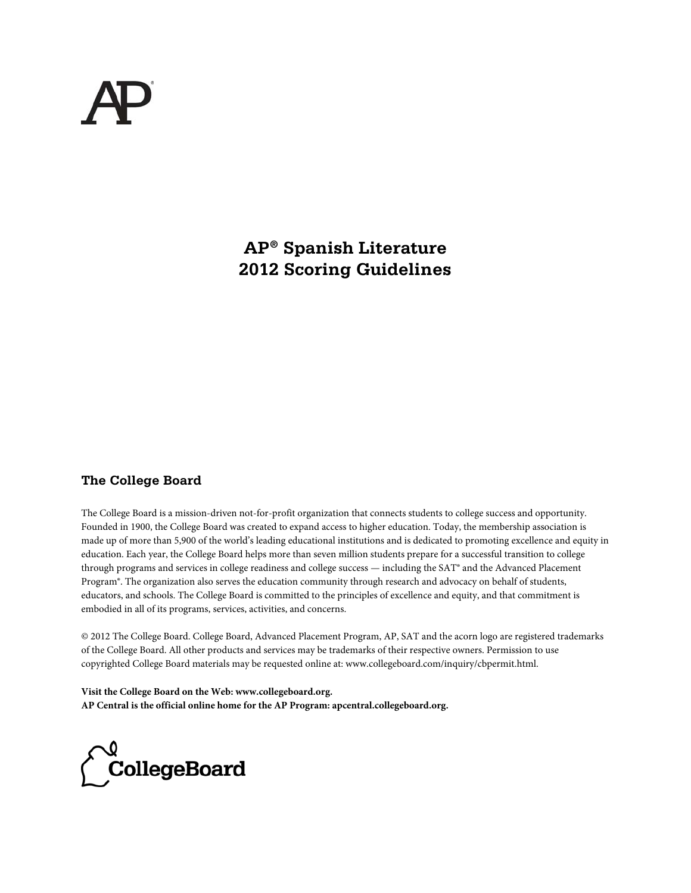**AP® Spanish Literature 2012 Scoring Guidelines** 

# **The College Board**

The College Board is a mission-driven not-for-profit organization that connects students to college success and opportunity. Founded in 1900, the College Board was created to expand access to higher education. Today, the membership association is made up of more than 5,900 of the world's leading educational institutions and is dedicated to promoting excellence and equity in education. Each year, the College Board helps more than seven million students prepare for a successful transition to college through programs and services in college readiness and college success — including the SAT® and the Advanced Placement Program®. The organization also serves the education community through research and advocacy on behalf of students, educators, and schools. The College Board is committed to the principles of excellence and equity, and that commitment is embodied in all of its programs, services, activities, and concerns.

© 2012 The College Board. College Board, Advanced Placement Program, AP, SAT and the acorn logo are registered trademarks of the College Board. All other products and services may be trademarks of their respective owners. Permission to use copyrighted College Board materials may be requested online at: www.collegeboard.com/inquiry/cbpermit.html.

**Visit the College Board on the Web: www.collegeboard.org. AP Central is the official online home for the AP Program: apcentral.collegeboard.org.**

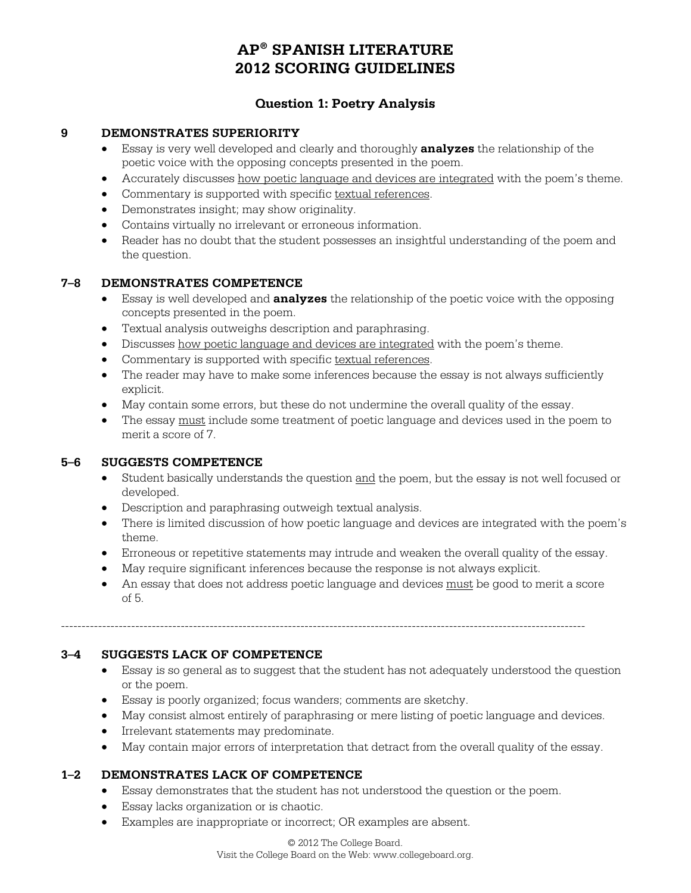# **Question 1: Poetry Analysis**

#### **9 DEMONSTRATES SUPERIORITY**

- Essay is very well developed and clearly and thoroughly **analyzes** the relationship of the poetic voice with the opposing concepts presented in the poem.
- Accurately discusses how poetic language and devices are integrated with the poem's theme.
- Commentary is supported with specific textual references.
- Demonstrates insight; may show originality.
- Contains virtually no irrelevant or erroneous information.
- Reader has no doubt that the student possesses an insightful understanding of the poem and the question.

#### **7–8 DEMONSTRATES COMPETENCE**

- Essay is well developed and **analyzes** the relationship of the poetic voice with the opposing concepts presented in the poem.
- Textual analysis outweighs description and paraphrasing.
- Discusses how poetic language and devices are integrated with the poem's theme.
- Commentary is supported with specific textual references.
- The reader may have to make some inferences because the essay is not always sufficiently explicit.
- May contain some errors, but these do not undermine the overall quality of the essay.
- The essay must include some treatment of poetic language and devices used in the poem to merit a score of 7.

### **5–6 SUGGESTS COMPETENCE**

- Student basically understands the question and the poem, but the essay is not well focused or developed.
- Description and paraphrasing outweigh textual analysis.
- There is limited discussion of how poetic language and devices are integrated with the poem's theme.
- Erroneous or repetitive statements may intrude and weaken the overall quality of the essay.
- May require significant inferences because the response is not always explicit.

-------------------------------------------------------------------------------------------------------------------------------

 An essay that does not address poetic language and devices must be good to merit a score of 5.

#### **3–4 SUGGESTS LACK OF COMPETENCE**

- Essay is so general as to suggest that the student has not adequately understood the question or the poem.
- Essay is poorly organized; focus wanders; comments are sketchy.
- May consist almost entirely of paraphrasing or mere listing of poetic language and devices.
- **•** Irrelevant statements may predominate.
- May contain major errors of interpretation that detract from the overall quality of the essay.

### **1–2 DEMONSTRATES LACK OF COMPETENCE**

- Essay demonstrates that the student has not understood the question or the poem.
- Essay lacks organization or is chaotic.
- Examples are inappropriate or incorrect; OR examples are absent.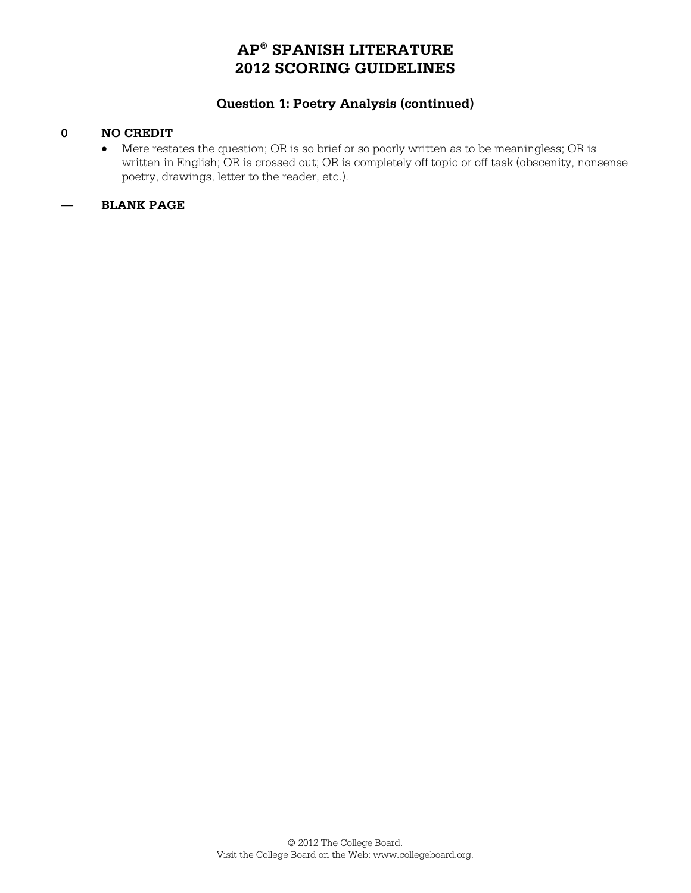# **Question 1: Poetry Analysis (continued)**

### **0 NO CREDIT**

 Mere restates the question; OR is so brief or so poorly written as to be meaningless; OR is written in English; OR is crossed out; OR is completely off topic or off task (obscenity, nonsense poetry, drawings, letter to the reader, etc.).

# **— BLANK PAGE**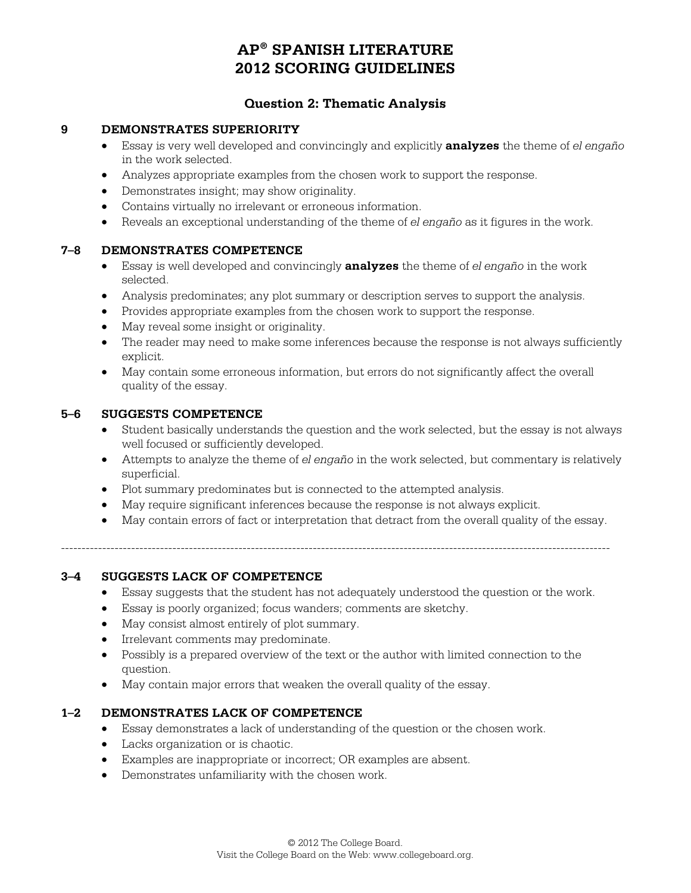# **Question 2: Thematic Analysis**

#### **9 DEMONSTRATES SUPERIORITY**

- Essay is very well developed and convincingly and explicitly **analyzes** the theme of *el engaño* in the work selected.
- Analyzes appropriate examples from the chosen work to support the response.
- Demonstrates insight; may show originality.
- Contains virtually no irrelevant or erroneous information.
- Reveals an exceptional understanding of the theme of *el engaño* as it figures in the work.

#### **7–8 DEMONSTRATES COMPETENCE**

- Essay is well developed and convincingly **analyzes** the theme of *el engaño* in the work selected.
- Analysis predominates; any plot summary or description serves to support the analysis.
- Provides appropriate examples from the chosen work to support the response.
- May reveal some insight or originality.
- The reader may need to make some inferences because the response is not always sufficiently explicit.
- May contain some erroneous information, but errors do not significantly affect the overall quality of the essay.

#### **5–6 SUGGESTS COMPETENCE**

- Student basically understands the question and the work selected, but the essay is not always well focused or sufficiently developed.
- Attempts to analyze the theme of *el engaño* in the work selected, but commentary is relatively superficial.
- Plot summary predominates but is connected to the attempted analysis.
- May require significant inferences because the response is not always explicit.
- May contain errors of fact or interpretation that detract from the overall quality of the essay.

-------------------------------------------------------------------------------------------------------------------------------------

# **3–4 SUGGESTS LACK OF COMPETENCE**

- Essay suggests that the student has not adequately understood the question or the work.
- Essay is poorly organized; focus wanders; comments are sketchy.
- May consist almost entirely of plot summary.
- **•** Irrelevant comments may predominate.
- Possibly is a prepared overview of the text or the author with limited connection to the question.
- May contain major errors that weaken the overall quality of the essay.

### **1–2 DEMONSTRATES LACK OF COMPETENCE**

- Essay demonstrates a lack of understanding of the question or the chosen work.
- Lacks organization or is chaotic.
- Examples are inappropriate or incorrect; OR examples are absent.
- Demonstrates unfamiliarity with the chosen work.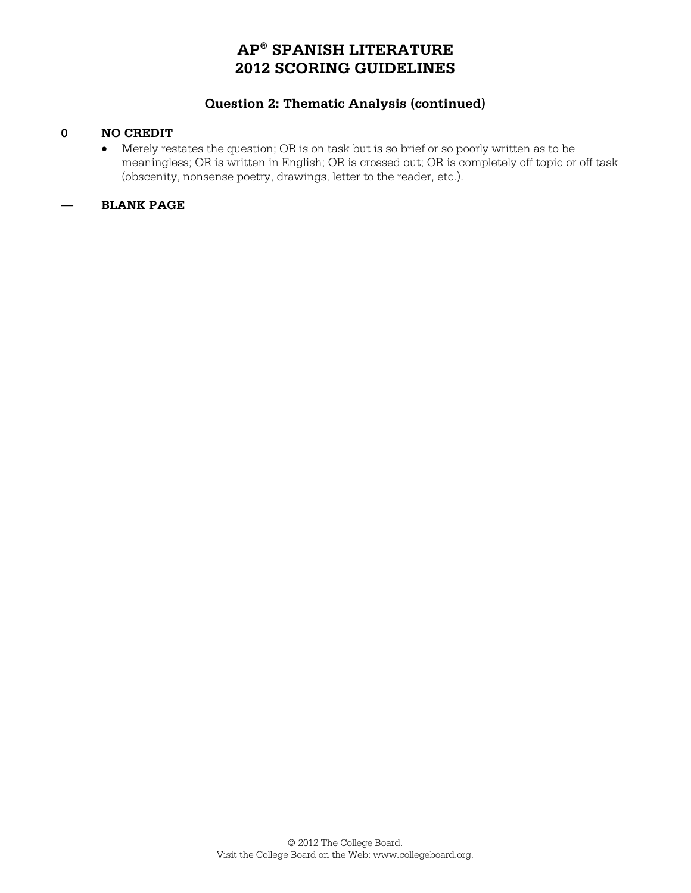# **Question 2: Thematic Analysis (continued)**

### **0 NO CREDIT**

 Merely restates the question; OR is on task but is so brief or so poorly written as to be meaningless; OR is written in English; OR is crossed out; OR is completely off topic or off task (obscenity, nonsense poetry, drawings, letter to the reader, etc.).

### **— BLANK PAGE**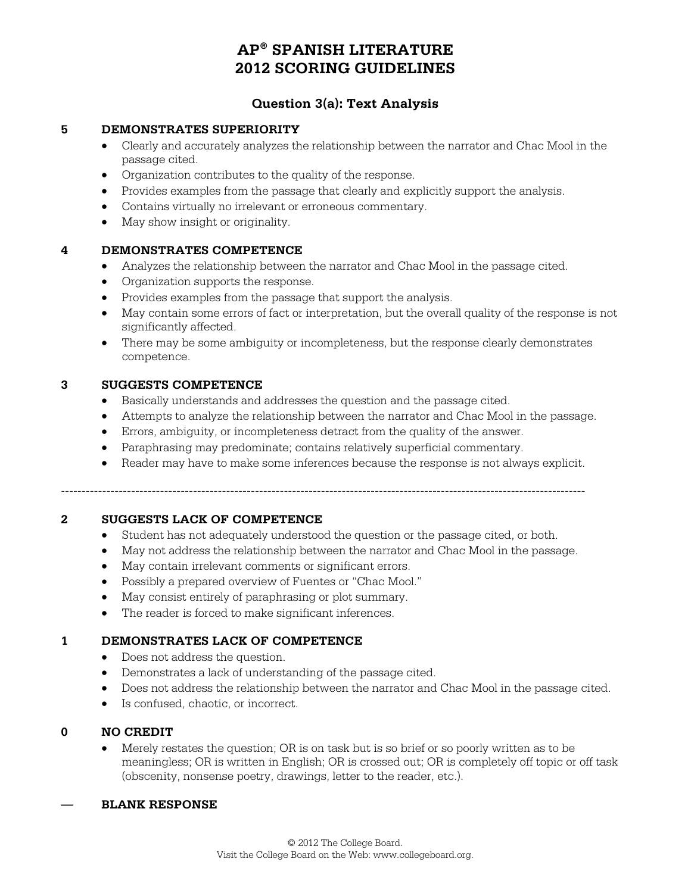# **Question 3(a): Text Analysis**

#### **5 DEMONSTRATES SUPERIORITY**

- Clearly and accurately analyzes the relationship between the narrator and Chac Mool in the passage cited.
- Organization contributes to the quality of the response.
- Provides examples from the passage that clearly and explicitly support the analysis.
- Contains virtually no irrelevant or erroneous commentary.
- May show insight or originality.

#### **4 DEMONSTRATES COMPETENCE**

- Analyzes the relationship between the narrator and Chac Mool in the passage cited.
- Organization supports the response.
- Provides examples from the passage that support the analysis.
- May contain some errors of fact or interpretation, but the overall quality of the response is not significantly affected.
- There may be some ambiguity or incompleteness, but the response clearly demonstrates competence.

#### **3 SUGGESTS COMPETENCE**

- Basically understands and addresses the question and the passage cited.
- Attempts to analyze the relationship between the narrator and Chac Mool in the passage.
- Errors, ambiguity, or incompleteness detract from the quality of the answer.
- Paraphrasing may predominate; contains relatively superficial commentary.
- Reader may have to make some inferences because the response is not always explicit.

 $-1.1$ 

#### **2 SUGGESTS LACK OF COMPETENCE**

- Student has not adequately understood the question or the passage cited, or both.
- May not address the relationship between the narrator and Chac Mool in the passage.
- $\bullet$  May contain irrelevant comments or significant errors.
- Possibly a prepared overview of Fuentes or "Chac Mool."
- May consist entirely of paraphrasing or plot summary.
- The reader is forced to make significant inferences.

#### **1 DEMONSTRATES LACK OF COMPETENCE**

- Does not address the question.
- Demonstrates a lack of understanding of the passage cited.
- Does not address the relationship between the narrator and Chac Mool in the passage cited.
- Is confused, chaotic, or incorrect.

#### **0 NO CREDIT**

 Merely restates the question; OR is on task but is so brief or so poorly written as to be meaningless; OR is written in English; OR is crossed out; OR is completely off topic or off task (obscenity, nonsense poetry, drawings, letter to the reader, etc.).

#### **— BLANK RESPONSE**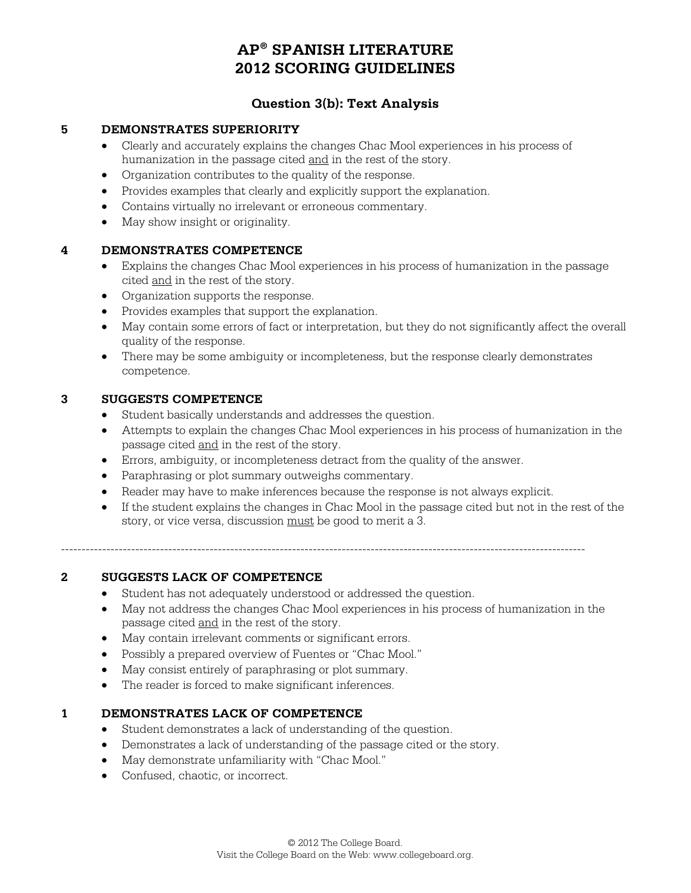# **Question 3(b): Text Analysis**

#### **5 DEMONSTRATES SUPERIORITY**

- Clearly and accurately explains the changes Chac Mool experiences in his process of humanization in the passage cited and in the rest of the story.
- Organization contributes to the quality of the response.
- Provides examples that clearly and explicitly support the explanation.
- Contains virtually no irrelevant or erroneous commentary.
- May show insight or originality.

# **4 DEMONSTRATES COMPETENCE**

- Explains the changes Chac Mool experiences in his process of humanization in the passage cited and in the rest of the story.
- Organization supports the response.
- Provides examples that support the explanation.
- May contain some errors of fact or interpretation, but they do not significantly affect the overall quality of the response.
- There may be some ambiguity or incompleteness, but the response clearly demonstrates competence.

#### **3 SUGGESTS COMPETENCE**

- Student basically understands and addresses the question.
- Attempts to explain the changes Chac Mool experiences in his process of humanization in the passage cited and in the rest of the story.
- Errors, ambiguity, or incompleteness detract from the quality of the answer.
- Paraphrasing or plot summary outweighs commentary.
- Reader may have to make inferences because the response is not always explicit.
- If the student explains the changes in Chac Mool in the passage cited but not in the rest of the story, or vice versa, discussion must be good to merit a 3.

-------------------------------------------------------------------------------------------------------------------------------

### **2 SUGGESTS LACK OF COMPETENCE**

- Student has not adequately understood or addressed the question.
- May not address the changes Chac Mool experiences in his process of humanization in the passage cited and in the rest of the story.
- May contain irrelevant comments or significant errors.
- Possibly a prepared overview of Fuentes or "Chac Mool."
- May consist entirely of paraphrasing or plot summary.
- The reader is forced to make significant inferences.

### **1 DEMONSTRATES LACK OF COMPETENCE**

- Student demonstrates a lack of understanding of the question.
- Demonstrates a lack of understanding of the passage cited or the story.
- May demonstrate unfamiliarity with "Chac Mool."
- Confused, chaotic, or incorrect.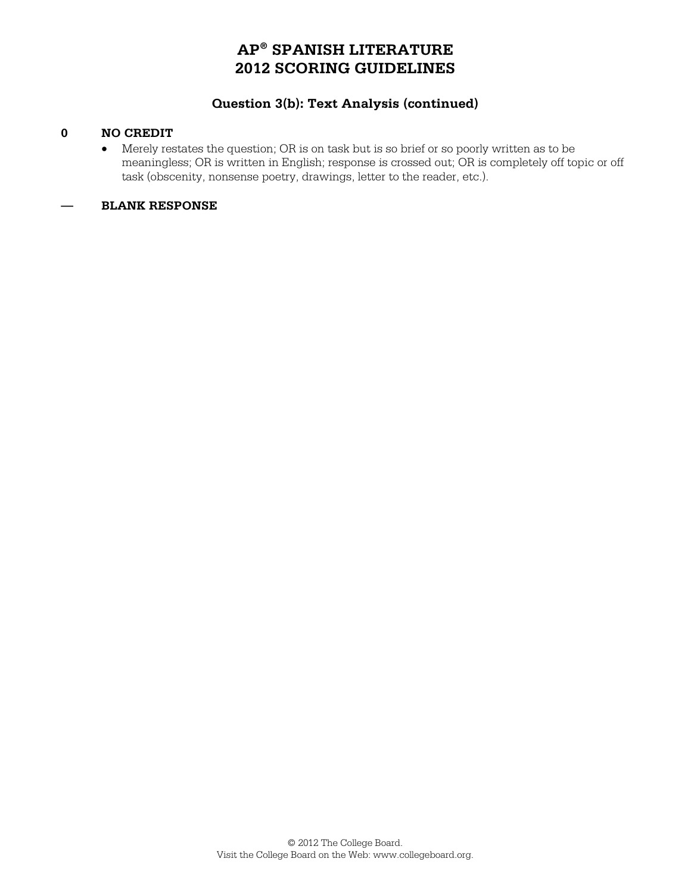# **Question 3(b): Text Analysis (continued)**

### **0 NO CREDIT**

 Merely restates the question; OR is on task but is so brief or so poorly written as to be meaningless; OR is written in English; response is crossed out; OR is completely off topic or off task (obscenity, nonsense poetry, drawings, letter to the reader, etc.).

### **— BLANK RESPONSE**